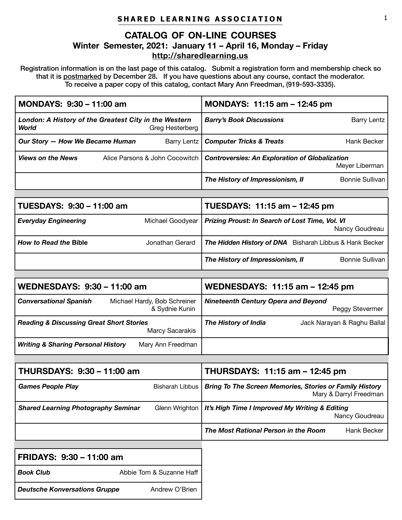# **SHARED LEARNING ASSOCIATION**

# **CATALOG OF ON-LINE COURSES Winter Semester, 2021: January 11 – April 16, Monday – Friday <http://sharedlearning.us>**

Registration information is on the last page of this catalog. Submit a registration form and membership check so that it is postmarked by December 28**.** If you have questions about any course, contact the moderator. To receive a paper copy of this catalog, contact Mary Ann Freedman, (919-593-3335).

| London: A History of the Greatest City in the Western<br><b>Barry's Book Discussions</b><br>Barry Lentz<br><b>World</b><br>Greg Hesterberg<br>Our Story - How We Became Human<br><b>Barry Lentz</b><br>Hank Becker<br><b>Computer Tricks &amp; Treats</b><br><b>Views on the News</b><br>Alice Parsons & John Cocowitch<br><b>Controversies: An Exploration of Globalization</b><br>Meyer Liberman<br><b>Bonnie Sullivan</b><br>The History of Impressionism, II<br>TUESDAYS: 9:30 - 11:00 am<br>TUESDAYS: 11:15 am - 12:45 pm<br><b>Everyday Engineering</b><br>Michael Goodyear<br>Prizing Proust: In Search of Lost Time, Vol. VI<br>Nancy Goudreau<br><b>How to Read the Bible</b><br>Jonathan Gerard<br>The Hidden History of DNA Bisharah Libbus & Hank Becker<br><b>Bonnie Sullivan</b><br>The History of Impressionism, II<br><b>WEDNESDAYS: 9:30 - 11:00 am</b><br>WEDNESDAYS: 11:15 am - 12:45 pm<br><b>Conversational Spanish</b><br>Michael Hardy, Bob Schreiner<br><b>Nineteenth Century Opera and Beyond</b><br>& Sydnie Kunin<br>Peggy Stevermer<br><b>Reading &amp; Discussing Great Short Stories</b><br>The History of India<br>Jack Narayan & Raghu Ballal<br>Marcy Sacarakis<br><b>Writing &amp; Sharing Personal History</b><br>Mary Ann Freedman<br>THURSDAYS: 9:30 - 11:00 am<br>THURSDAYS: 11:15 am - 12:45 pm<br><b>Games People Play</b><br><b>Bring To The Screen Memories, Stories or Family History</b><br><b>Bisharah Libbus</b><br>Mary & Darryl Freedman<br><b>Shared Learning Photography Seminar</b><br>Glenn Wrighton<br>It's High Time I Improved My Writing & Editing<br>Nancy Goudreau<br>The Most Rational Person in the Room<br>Hank Becker<br>FRIDAYS: 9:30 - 11:00 am<br><b>Book Club</b><br>Abbie Tom & Suzanne Haff | MONDAYS: 9:30 - 11:00 am                               | MONDAYS: 11:15 am - 12:45 pm |
|-----------------------------------------------------------------------------------------------------------------------------------------------------------------------------------------------------------------------------------------------------------------------------------------------------------------------------------------------------------------------------------------------------------------------------------------------------------------------------------------------------------------------------------------------------------------------------------------------------------------------------------------------------------------------------------------------------------------------------------------------------------------------------------------------------------------------------------------------------------------------------------------------------------------------------------------------------------------------------------------------------------------------------------------------------------------------------------------------------------------------------------------------------------------------------------------------------------------------------------------------------------------------------------------------------------------------------------------------------------------------------------------------------------------------------------------------------------------------------------------------------------------------------------------------------------------------------------------------------------------------------------------------------------------------------------------------------------------------------------------------------------------|--------------------------------------------------------|------------------------------|
|                                                                                                                                                                                                                                                                                                                                                                                                                                                                                                                                                                                                                                                                                                                                                                                                                                                                                                                                                                                                                                                                                                                                                                                                                                                                                                                                                                                                                                                                                                                                                                                                                                                                                                                                                                 |                                                        |                              |
|                                                                                                                                                                                                                                                                                                                                                                                                                                                                                                                                                                                                                                                                                                                                                                                                                                                                                                                                                                                                                                                                                                                                                                                                                                                                                                                                                                                                                                                                                                                                                                                                                                                                                                                                                                 |                                                        |                              |
|                                                                                                                                                                                                                                                                                                                                                                                                                                                                                                                                                                                                                                                                                                                                                                                                                                                                                                                                                                                                                                                                                                                                                                                                                                                                                                                                                                                                                                                                                                                                                                                                                                                                                                                                                                 |                                                        |                              |
|                                                                                                                                                                                                                                                                                                                                                                                                                                                                                                                                                                                                                                                                                                                                                                                                                                                                                                                                                                                                                                                                                                                                                                                                                                                                                                                                                                                                                                                                                                                                                                                                                                                                                                                                                                 |                                                        |                              |
|                                                                                                                                                                                                                                                                                                                                                                                                                                                                                                                                                                                                                                                                                                                                                                                                                                                                                                                                                                                                                                                                                                                                                                                                                                                                                                                                                                                                                                                                                                                                                                                                                                                                                                                                                                 |                                                        |                              |
|                                                                                                                                                                                                                                                                                                                                                                                                                                                                                                                                                                                                                                                                                                                                                                                                                                                                                                                                                                                                                                                                                                                                                                                                                                                                                                                                                                                                                                                                                                                                                                                                                                                                                                                                                                 |                                                        |                              |
|                                                                                                                                                                                                                                                                                                                                                                                                                                                                                                                                                                                                                                                                                                                                                                                                                                                                                                                                                                                                                                                                                                                                                                                                                                                                                                                                                                                                                                                                                                                                                                                                                                                                                                                                                                 |                                                        |                              |
|                                                                                                                                                                                                                                                                                                                                                                                                                                                                                                                                                                                                                                                                                                                                                                                                                                                                                                                                                                                                                                                                                                                                                                                                                                                                                                                                                                                                                                                                                                                                                                                                                                                                                                                                                                 |                                                        |                              |
|                                                                                                                                                                                                                                                                                                                                                                                                                                                                                                                                                                                                                                                                                                                                                                                                                                                                                                                                                                                                                                                                                                                                                                                                                                                                                                                                                                                                                                                                                                                                                                                                                                                                                                                                                                 |                                                        |                              |
|                                                                                                                                                                                                                                                                                                                                                                                                                                                                                                                                                                                                                                                                                                                                                                                                                                                                                                                                                                                                                                                                                                                                                                                                                                                                                                                                                                                                                                                                                                                                                                                                                                                                                                                                                                 |                                                        |                              |
|                                                                                                                                                                                                                                                                                                                                                                                                                                                                                                                                                                                                                                                                                                                                                                                                                                                                                                                                                                                                                                                                                                                                                                                                                                                                                                                                                                                                                                                                                                                                                                                                                                                                                                                                                                 |                                                        |                              |
|                                                                                                                                                                                                                                                                                                                                                                                                                                                                                                                                                                                                                                                                                                                                                                                                                                                                                                                                                                                                                                                                                                                                                                                                                                                                                                                                                                                                                                                                                                                                                                                                                                                                                                                                                                 |                                                        |                              |
|                                                                                                                                                                                                                                                                                                                                                                                                                                                                                                                                                                                                                                                                                                                                                                                                                                                                                                                                                                                                                                                                                                                                                                                                                                                                                                                                                                                                                                                                                                                                                                                                                                                                                                                                                                 |                                                        |                              |
|                                                                                                                                                                                                                                                                                                                                                                                                                                                                                                                                                                                                                                                                                                                                                                                                                                                                                                                                                                                                                                                                                                                                                                                                                                                                                                                                                                                                                                                                                                                                                                                                                                                                                                                                                                 |                                                        |                              |
|                                                                                                                                                                                                                                                                                                                                                                                                                                                                                                                                                                                                                                                                                                                                                                                                                                                                                                                                                                                                                                                                                                                                                                                                                                                                                                                                                                                                                                                                                                                                                                                                                                                                                                                                                                 |                                                        |                              |
|                                                                                                                                                                                                                                                                                                                                                                                                                                                                                                                                                                                                                                                                                                                                                                                                                                                                                                                                                                                                                                                                                                                                                                                                                                                                                                                                                                                                                                                                                                                                                                                                                                                                                                                                                                 |                                                        |                              |
|                                                                                                                                                                                                                                                                                                                                                                                                                                                                                                                                                                                                                                                                                                                                                                                                                                                                                                                                                                                                                                                                                                                                                                                                                                                                                                                                                                                                                                                                                                                                                                                                                                                                                                                                                                 |                                                        |                              |
|                                                                                                                                                                                                                                                                                                                                                                                                                                                                                                                                                                                                                                                                                                                                                                                                                                                                                                                                                                                                                                                                                                                                                                                                                                                                                                                                                                                                                                                                                                                                                                                                                                                                                                                                                                 |                                                        |                              |
|                                                                                                                                                                                                                                                                                                                                                                                                                                                                                                                                                                                                                                                                                                                                                                                                                                                                                                                                                                                                                                                                                                                                                                                                                                                                                                                                                                                                                                                                                                                                                                                                                                                                                                                                                                 |                                                        |                              |
|                                                                                                                                                                                                                                                                                                                                                                                                                                                                                                                                                                                                                                                                                                                                                                                                                                                                                                                                                                                                                                                                                                                                                                                                                                                                                                                                                                                                                                                                                                                                                                                                                                                                                                                                                                 |                                                        |                              |
|                                                                                                                                                                                                                                                                                                                                                                                                                                                                                                                                                                                                                                                                                                                                                                                                                                                                                                                                                                                                                                                                                                                                                                                                                                                                                                                                                                                                                                                                                                                                                                                                                                                                                                                                                                 |                                                        |                              |
|                                                                                                                                                                                                                                                                                                                                                                                                                                                                                                                                                                                                                                                                                                                                                                                                                                                                                                                                                                                                                                                                                                                                                                                                                                                                                                                                                                                                                                                                                                                                                                                                                                                                                                                                                                 |                                                        |                              |
|                                                                                                                                                                                                                                                                                                                                                                                                                                                                                                                                                                                                                                                                                                                                                                                                                                                                                                                                                                                                                                                                                                                                                                                                                                                                                                                                                                                                                                                                                                                                                                                                                                                                                                                                                                 | <b>Deutsche Konversations Gruppe</b><br>Andrew O'Brien |                              |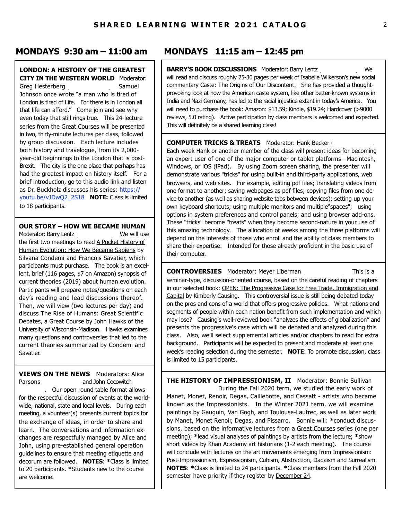## **LONDON: A HISTORY OF THE GREATEST CITY IN THE WESTERN WORLD** Moderator:

Greg Hesterberg (513-304-590). Samuel Johnson once wrote "a man who is tired of London is tired of Life. For there is in London all that life can afford." Come join and see why even today that still rings true. This 24-lecture series from the Great Courses will be presented in two, thirty-minute lectures per class, followed by group discussion. Each lecture includes both history and travelogue, from its 2,000 year-old beginnings to the London that is post-Brexit. The city is the one place that perhaps has had the greatest impact on history itself. For a brief introduction, go to this audio link and listen [as Dr. Buckholz discusses his series: https://](https://youtu.be/vJDwQ2_2S18) youtu.be/vJDwQ2\_2S18 **NOTE:** Class is limited to 18 participants.

**OUR STORY – HOW WE BECAME HUMAN**

Moderator: Barry Lentz (919). We will use the first two meetings to read A Pocket History of Human Evolution: How We Became Sapiens by Silvana Condemi and François Savatier, which participants must purchase. The book is an excellent, brief (116 pages, \$7 on Amazon) synopsis of current theories (2019) about human evolution. Participants will prepare notes/questions on each day's reading and lead discussions thereof. Then, we will view (two lectures per day) and discuss The Rise of Humans: Great Scientific Debates, a Great Course by John Hawks of the University of Wisconsin-Madison. Hawks examines many questions and controversies that led to the current theories summarized by Condemi and Savatier.

**VIEWS ON THE NEWS** Moderators: Alice Parsons (919-642-880) and John Cocowitch . Our open round table format allows for the respectful discussion of events at the worldwide, national, state and local levels. During each meeting, a vounteer(s) presents current topics for the exchange of ideas, in order to share and learn. The conversations and information exchanges are respectfully managed by Alice and John, using pre-established general operation guidelines to ensure that meeting etiquette and decorum are followed. **NOTES**: **\***Class is limited to 20 participants. **\***Students new to the course are welcome.

# **MONDAYS 9:30 am – 11:00 am MONDAYS 11:15 am – 12:45 pm**

**BARRY'S BOOK DISCUSSIONS** Moderator: Barry Lentz (919-824-8808). will read and discuss roughly 25-30 pages per week of Isabelle Wilkerson's new social commentary Caste: The Origins of Our Discontent. She has provided a thoughtprovoking look at how the American caste system, like other better-known systems in India and Nazi Germany, has led to the racial injustice extant in today's America. You will need to purchase the book: Amazon: \$13.59; Kindle, \$19.24; Hardcover (>9000 reviews, 5.0 rating). Active participation by class members is welcomed and expected. This will definitely be a shared learning class!

#### **COMPUTER TRICKS & TREATS** Moderator: Hank Becker (

Each week Hank or another member of the class will present ideas for becoming an expert user of one of the major computer or tablet platforms—Macintosh, Windows, or iOS (iPad). By using Zoom screen sharing, the presenter will demonstrate various "tricks" for using built-in and third-party applications, web browsers, and web sites. For example, editing pdf files; translating videos from one format to another; saving webpages as pdf files; copying files from one device to another (as well as sharing website tabs between devices); setting up your own keyboard shortcuts; using multiple monitors and multiple"spaces"; using options in system preferences and control panels; and using browser add-ons. These "tricks" become "treats" when they become second-nature in your use of this amazing technology. The allocation of weeks among the three platforms will depend on the interests of those who enroll and the ability of class members to share their expertise. Intended for those already proficient in the basic use of their computer.

#### **CONTROVERSIES** Moderator: Meyer Liberman (919) This is a

seminar-type, discussion-oriented course, based on the careful reading of chapters in our selected book: OPEN: The Progressive Case for Free Trade, Immigration and Capital by Kimberly Causing. This controversial issue is still being debated today on the pros and cons of a world that offers progressive policies. What nations and segments of people within each nation benefit from such implementation and which may lose? Causing's well-reviewed book "analyzes the effects of globalization" and presents the progressive's case which will be debated and analyzed during this class. Also, we'll select supplemental articles and/or chapters to read for extra background. Participants will be expected to present and moderate at least one week's reading selection during the semester. **NOTE**: To promote discussion, class is limited to 15 participants.

**THE HISTORY OF IMPRESSIONISM, II** Moderator: Bonnie Sullivan During the Fall 2020 term, we studied the early work of Manet, Monet, Renoir, Degas, Caillebotte, and Cassatt - artists who became known as the Impressionists. In the Winter 2021 term, we will examine paintings by Gauguin, Van Gogh, and Toulouse-Lautrec, as well as later work by Manet, Monet Renoir, Degas, and Pissarro. Bonnie will: **\***conduct discussions, based on the informative lectures from a Great Courses series (one per meeting); **\***lead visual analyses of paintings by artists from the lecture; **\***show short videos by Khan Academy art historians (1-2 each meeting). The course will conclude with lectures on the art movements emerging from Impressionism: Post-Impressionism, Expressionism, Cubism, Abstraction, Dadaism and Surrealism. **NOTES**: **\***Class is limited to 24 participants. **\***Class members from the Fall 2020 semester have priority if they register by December 24.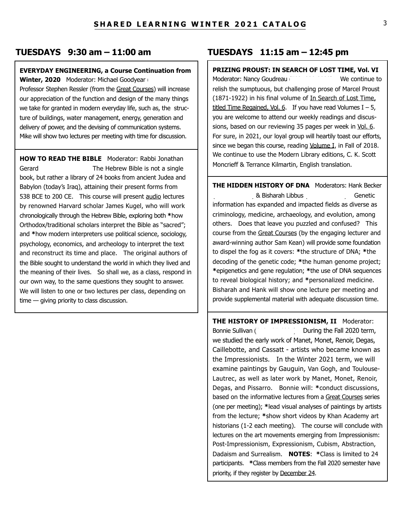#### **EVERYDAY ENGINEERING, a Course Continuation from**

**Winter, 2020** Moderator: Michael Goodyear

Professor Stephen Ressler (from the Great Courses) will increase our appreciation of the function and design of the many things we take for granted in modern everyday life, such as, the structure of buildings, water management, energy, generation and delivery of power, and the devising of communication systems. Mike will show two lectures per meeting with time for discussion.

**HOW TO READ THE BIBLE** Moderator: Rabbi Jonathan Gerard **Canadia Constructs** The Hebrew Bible is not a single book, but rather a library of 24 books from ancient Judea and Babylon (today's Iraq), attaining their present forms from 538 BCE to 200 CE. This course will present audio lectures by renowned Harvard scholar James Kugel, who will work chronologically through the Hebrew Bible, exploring both **\***how Orthodox/traditional scholars interpret the Bible as "sacred"; and **\***how modern interpreters use political science, sociology, psychology, economics, and archeology to interpret the text and reconstruct its time and place. The original authors of the Bible sought to understand the world in which they lived and the meaning of their lives. So shall we, as a class, respond in our own way, to the same questions they sought to answer. We will listen to one or two lectures per class, depending on time — giving priority to class discussion.

# **TUESDAYS 9:30 am – 11:00 am TUESDAYS 11:15 am – 12:45 pm**

# **PRIZING PROUST: IN SEARCH OF LOST TIME, Vol. VI**

Moderator: Nancy Goudreau (703) 2032 We continue to relish the sumptuous, but challenging prose of Marcel Proust (1871-1922) in his final volume of In Search of Lost Time, titled Time Regained, Vol. 6. If you have read Volumes  $I - 5$ , you are welcome to attend our weekly readings and discussions, based on our reviewing 35 pages per week in Vol. 6. For sure, in 2021, our loyal group will heartily toast our efforts, since we began this course, reading Volume I, in Fall of 2018. We continue to use the Modern Library editions, C. K. Scott Moncrieff & Terrance Kilmartin, English translation.

**THE HIDDEN HISTORY OF DNA** Moderators: Hank Becker (919-932-7356) & Bisharah Libbus (919-771-6567). Genetic information has expanded and impacted fields as diverse as criminology, medicine, archaeology, and evolution, among others. Does that leave you puzzled and confused? This course from the Great Courses (by the engaging lecturer and award-winning author Sam Kean) will provide some foundation to dispel the fog as it covers: **\***the structure of DNA; **\***the decoding of the genetic code; **\***the human genome project; **\***epigenetics and gene regulation; **\***the use of DNA sequences to reveal biological history; and **\***personalized medicine. Bisharah and Hank will show one lecture per meeting and provide supplemental material with adequate discussion time.

**THE HISTORY OF IMPRESSIONISM, II** Moderator: Bonnie Sullivan (Sullivan Connie Sullivan Connie Sullivan Connection Connection During the Fall 2020 term, we studied the early work of Manet, Monet, Renoir, Degas, Caillebotte, and Cassatt - artists who became known as the Impressionists. In the Winter 2021 term, we will examine paintings by Gauguin, Van Gogh, and Toulouse-Lautrec, as well as later work by Manet, Monet, Renoir, Degas, and Pissarro. Bonnie will: **\***conduct discussions, based on the informative lectures from a Great Courses series (one per meeting); **\***lead visual analyses of paintings by artists from the lecture; **\***show short videos by Khan Academy art historians (1-2 each meeting). The course will conclude with lectures on the art movements emerging from Impressionism: Post-Impressionism, Expressionism, Cubism, Abstraction, Dadaism and Surrealism. **NOTES**: **\***Class is limited to 24 participants. **\***Class members from the Fall 2020 semester have priority, if they register by December 24.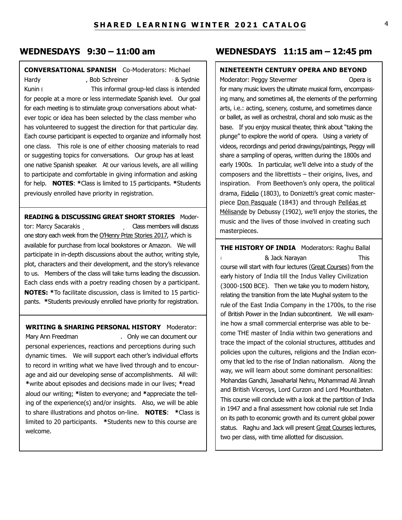# **CONVERSATIONAL SPANISH** Co-Moderators: Michael

Hardy (919-5), Bob Schreiner (919-829-0862) & Sydnie Kunin (919). This informal group-led class is intended for people at a more or less intermediate Spanish level. Our goal for each meeting is to stimulate group conversations about whatever topic or idea has been selected by the class member who has volunteered to suggest the direction for that particular day. Each course participant is expected to organize and informally host one class. This role is one of either choosing materials to read or suggesting topics for conversations. Our group has at least one native Spanish speaker. At our various levels, are all willing to participate and comfortable in giving information and asking for help. **NOTES**: **\***Class is limited to 15 participants. **\***Students previously enrolled have priority in registration.

**READING & DISCUSSING GREAT SHORT STORIES** Modertor: Marcy Sacarakis (610-428). Class members will discuss one story each week from the O'Henry Prize Stories 2017, which is available for purchase from local bookstores or Amazon. We will participate in in-depth discussions about the author, writing style, plot, characters and their development, and the story's relevance to us. Members of the class will take turns leading the discussion. Each class ends with a poetry reading chosen by a participant. **NOTES: \***To facilitate discussion, class is limited to 15 participants. **\***Students previously enrolled have priority for registration.

**WRITING & SHARING PERSONAL HISTORY** Moderator: Mary Ann Freedman (919). Only we can document our personal experiences, reactions and perceptions during such dynamic times. We will support each other's individual efforts to record in writing what we have lived through and to encourage and aid our developing sense of accomplishments. All will: **\***write about episodes and decisions made in our lives; **\***read aloud our writing; **\***listen to everyone; and **\***appreciate the telling of the experience(s) and/or insights. Also, we will be able to share illustrations and photos on-line. **NOTES**: **\***Class is limited to 20 participants. **\***Students new to this course are welcome.

# **WEDNESDAYS 9:30 – 11:00 am WEDNESDAYS 11:15 am – 12:45 pm**

# **NINETEENTH CENTURY OPERA AND BEYOND**

Moderator: Peggy Stevermer (919-920-92) Opera is for many music lovers the ultimate musical form, encompassing many, and sometimes all, the elements of the performing arts, i.e.: acting, scenery, costume, and sometimes dance or ballet, as well as orchestral, choral and solo music as the base. If you enjoy musical theater, think about "taking the plunge" to explore the world of opera. Using a variety of videos, recordings and period drawings/paintings, Peggy will share a sampling of operas, written during the 1800s and early 1900s. In particular, we'll delve into a study of the composers and the librettists – their origins, lives, and inspiration. From Beethoven's only opera, the political drama, Fidelio (1803), to Donizetti's great comic masterpiece Don Pasquale (1843) and through Pelléas et Mélisande by Debussy (1902), we'll enjoy the stories, the music and the lives of those involved in creating such masterpieces.

**THE HISTORY OF INDIA** Moderators: Raghu Ballal (919-260-4619) & Jack Narayan (315-806-6032). This course will start with four lectures (Great Courses) from the early history of India till the Indus Valley Civilization (3000-1500 BCE). Then we take you to modern history, relating the transition from the late Mughal system to the rule of the East India Company in the 1700s, to the rise of British Power in the Indian subcontinent. We will examine how a small commercial enterprise was able to become THE master of India within two generations and trace the impact of the colonial structures, attitudes and policies upon the cultures, religions and the Indian economy that led to the rise of Indian nationalism. Along the way, we will learn about some dominant personalities: Mohandas Gandhi, Jawaharlal Nehru, Mohammad Ali Jinnah and British Viceroys, Lord Curzon and Lord Mountbaten. This course will conclude with a look at the partition of India in 1947 and a final assessment how colonial rule set India on its path to economic growth and its current global power status. Raghu and Jack will present Great Courses lectures, two per class, with time allotted for discussion.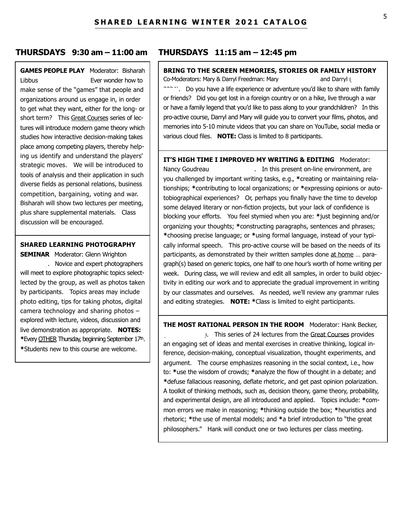# **GAMES PEOPLE PLAY** Moderator: Bisharah Libbus (919) Ever wonder how to

make sense of the "games" that people and organizations around us engage in, in order to get what they want, either for the long- or short term? This Great Courses series of lectures will introduce modern game theory which studies how interactive decision-making takes place among competing players, thereby helping us identify and understand the players' strategic moves. We will be introduced to tools of analysis and their application in such diverse fields as personal relations, business competition, bargaining, voting and war. Bisharah will show two lectures per meeting, plus share supplemental materials. Class discussion will be encouraged.

#### **SHARED LEARNING PHOTOGRAPHY**

**SEMINAR** Moderator: Glenn Wrighton . Novice and expert photographers will meet to explore photographic topics selectlected by the group, as well as photos taken by participants. Topics areas may include photo editing, tips for taking photos, digital camera technology and sharing photos – explored with lecture, videos, discussion and live demonstration as appropriate. **NOTES: \***Every OTHER Thursday, beginning September 17th. **\***Students new to this course are welcome.

### **THURSDAYS 9:30 am – 11:00 am THURSDAYS 11:15 am – 12:45 pm**

## **BRING TO THE SCREEN MEMORIES, STORIES OR FAMILY HISTORY**

Co-Moderators: Mary & Darryl Freedman: Mary (919-593) and Darryl (919-593-3335) <sup>233</sup>34). Do you have a life experience or adventure you'd like to share with family or friends? Did you get lost in a foreign country or on a hike, live through a war or have a family legend that you'd like to pass along to your grandchildren? In this pro-active course, Darryl and Mary will guide you to convert your films, photos, and memories into 5-10 minute videos that you can share on YouTube, social media or various cloud files. **NOTE:** Class is limited to 8 participants.

#### **IT'S HIGH TIME I IMPROVED MY WRITING & EDITING** Moderator:

Nancy Goudreau (703-329). In this present on-line environment, are you challenged by important writing tasks, e.g., **\***creating or maintaining relationships; **\***contributing to local organizations; or **\***expressing opinions or autotobiographical experiences? Or, perhaps you finally have the time to develop some delayed literary or non-fiction projects, but your lack of confidence is blocking your efforts. You feel stymied when you are: **\***just beginning and/or organizing your thoughts; **\***constructing paragraphs, sentences and phrases; **\***choosing precise language; or **\***using formal language, instead of your typically informal speech. This pro-active course will be based on the needs of its participants, as demonstrated by their written samples done at home … paragraph(s) based on generic topics, one half to one hour's worth of home writing per week. During class, we will review and edit all samples, in order to build objectivity in editing our work and to appreciate the gradual improvement in writing by our classmates and ourselves. As needed, we'll review any grammar rules and editing strategies. **NOTE: \***Class is limited to eight participants.

**THE MOST RATIONAL PERSON IN THE ROOM** Moderator: Hank Becker, (1. This series of 24 lectures from the Great Courses provides an engaging set of ideas and mental exercises in creative thinking, logical inference, decision-making, conceptual visualization, thought experiments, and argument. The course emphasizes reasoning in the social context, i.e., how to: **\***use the wisdom of crowds; **\***analyze the flow of thought in a debate; and **\***defuse fallacious reasoning, deflate rhetoric, and get past opinion polarization. A toolkit of thinking methods, such as, decision theory, game theory, probability, and experimental design, are all introduced and applied. Topics include: **\***common errors we make in reasoning; **\***thinking outside the box; **\***heuristics and rhetoric; **\***the use of mental models; and **\***a brief introduction to "the great philosophers." Hank will conduct one or two lectures per class meeting.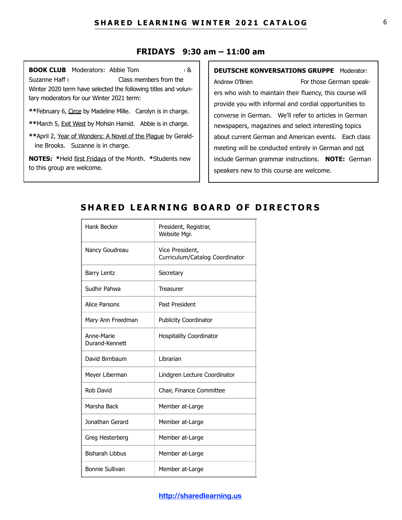### **FRIDAYS 9:30 am – 11:00 am**

**BOOK CLUB** Moderators: Abbie Tom Suzanne Haff (919) Class members from the Winter 2020 term have selected the following titles and voluntary moderators for our Winter 2021 term:

**\*\***February 6, Circe by Madeline Mille. Carolyn is in charge.

**\*\***March 5, Exit West by Mohsin Hamid. Abbie is in charge.

**\*\***April 2, Year of Wonders: A Novel of the Plague by Gerald ine Brooks. Suzanne is in charge.

**NOTES: \***Held first Fridays of the Month. **\***Students new to this group are welcome.

### **DEUTSCHE KONVERSATIONS GRUPPE** Moderator:

Andrew O'Brien (301) For those German speakers who wish to maintain their fluency, this course will provide you with informal and cordial opportunities to converse in German. We'll refer to articles in German newspapers, magazines and select interesting topics about current German and American events. Each class meeting will be conducted entirely in German and not include German grammar instructions. **NOTE:** German speakers new to this course are welcome.

# **SHARED LEARNING BOARD OF DIRECTORS**

| Hank Becker                  | President, Registrar,<br>Website Mgr.             |
|------------------------------|---------------------------------------------------|
| Nancy Goudreau               | Vice President,<br>Curriculum/Catalog Coordinator |
| <b>Barry Lentz</b>           | Secretary                                         |
| Sudhir Pahwa                 | <b>Treasurer</b>                                  |
| <b>Alice Parsons</b>         | Past President                                    |
| Mary Ann Freedman            | <b>Publicity Coordinator</b>                      |
| Anne-Marie<br>Durand-Kennett | <b>Hospitality Coordinator</b>                    |
| David Birnbaum               | Librarian                                         |
| Meyer Liberman               | Lindgren Lecture Coordinator                      |
| Rob David                    | Chair, Finance Committee                          |
| Marsha Back                  | Member at-Large                                   |
| Jonathan Gerard              | Member at-Large                                   |
| Greg Hesterberg              | Member at-Large                                   |
| <b>Bisharah Libbus</b>       | Member at-Large                                   |
| <b>Bonnie Sullivan</b>       | Member at-Large                                   |